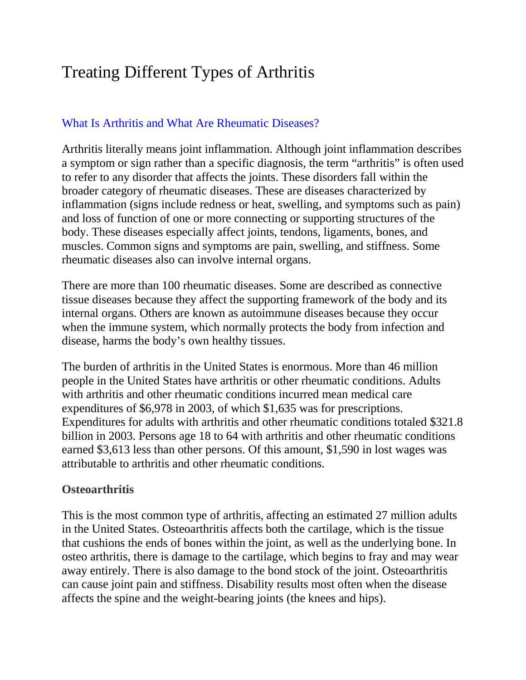# Treating Different Types of Arthritis

#### What Is Arthritis and What Are Rheumatic Diseases?

Arthritis literally means joint inflammation. Although joint inflammation describes a symptom or sign rather than a specific diagnosis, the term "arthritis" is often used to refer to any disorder that affects the joints. These disorders fall within the broader category of rheumatic diseases. These are diseases characterized by inflammation (signs include redness or heat, swelling, and symptoms such as pain) and loss of function of one or more connecting or supporting structures of the body. These diseases especially affect joints, tendons, ligaments, bones, and muscles. Common signs and symptoms are pain, swelling, and stiffness. Some rheumatic diseases also can involve internal organs.

There are more than 100 rheumatic diseases. Some are described as connective tissue diseases because they affect the supporting framework of the body and its internal organs. Others are known as autoimmune diseases because they occur when the immune system, which normally protects the body from infection and disease, harms the body's own healthy tissues.

The burden of arthritis in the United States is enormous. More than 46 million people in the United States have arthritis or other rheumatic conditions. Adults with arthritis and other rheumatic conditions incurred mean medical care expenditures of \$6,978 in 2003, of which \$1,635 was for prescriptions. Expenditures for adults with arthritis and other rheumatic conditions totaled \$321.8 billion in 2003. Persons age 18 to 64 with arthritis and other rheumatic conditions earned \$3,613 less than other persons. Of this amount, \$1,590 in lost wages was attributable to arthritis and other rheumatic conditions.

#### **Osteoarthritis**

This is the most common type of arthritis, affecting an estimated 27 million adults in the United States. Osteoarthritis affects both the cartilage, which is the tissue that cushions the ends of bones within the joint, as well as the underlying bone. In osteo arthritis, there is damage to the cartilage, which begins to fray and may wear away entirely. There is also damage to the bond stock of the joint. Osteoarthritis can cause joint pain and stiffness. Disability results most often when the disease affects the spine and the weight-bearing joints (the knees and hips).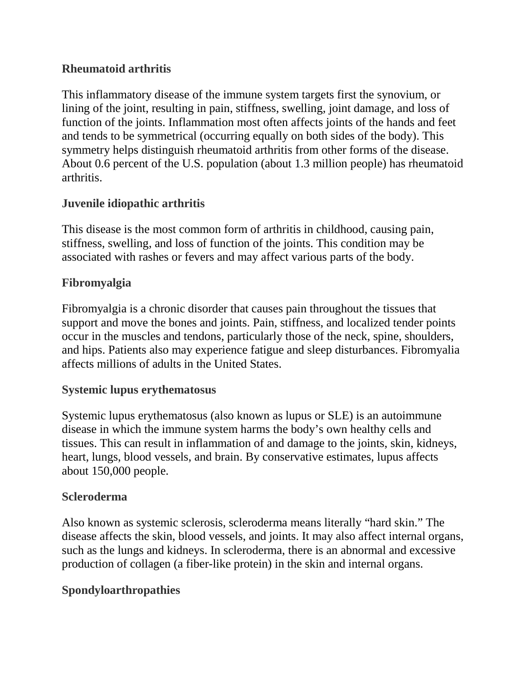## **Rheumatoid arthritis**

This inflammatory disease of the immune system targets first the synovium, or lining of the joint, resulting in pain, stiffness, swelling, joint damage, and loss of function of the joints. Inflammation most often affects joints of the hands and feet and tends to be symmetrical (occurring equally on both sides of the body). This symmetry helps distinguish rheumatoid arthritis from other forms of the disease. About 0.6 percent of the U.S. population (about 1.3 million people) has rheumatoid arthritis.

#### **Juvenile idiopathic arthritis**

This disease is the most common form of arthritis in childhood, causing pain, stiffness, swelling, and loss of function of the joints. This condition may be associated with rashes or fevers and may affect various parts of the body.

#### **Fibromyalgia**

Fibromyalgia is a chronic disorder that causes pain throughout the tissues that support and move the bones and joints. Pain, stiffness, and localized tender points occur in the muscles and tendons, particularly those of the neck, spine, shoulders, and hips. Patients also may experience fatigue and sleep disturbances. Fibromyalia affects millions of adults in the United States.

#### **Systemic lupus erythematosus**

Systemic lupus erythematosus (also known as lupus or SLE) is an autoimmune disease in which the immune system harms the body's own healthy cells and tissues. This can result in inflammation of and damage to the joints, skin, kidneys, heart, lungs, blood vessels, and brain. By conservative estimates, lupus affects about 150,000 people.

#### **Scleroderma**

Also known as systemic sclerosis, scleroderma means literally "hard skin." The disease affects the skin, blood vessels, and joints. It may also affect internal organs, such as the lungs and kidneys. In scleroderma, there is an abnormal and excessive production of collagen (a fiber-like protein) in the skin and internal organs.

## **Spondyloarthropathies**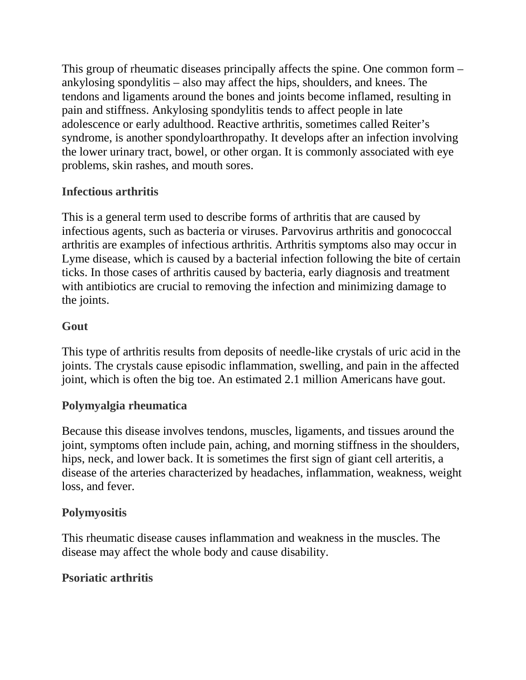This group of rheumatic diseases principally affects the spine. One common form – ankylosing spondylitis – also may affect the hips, shoulders, and knees. The tendons and ligaments around the bones and joints become inflamed, resulting in pain and stiffness. Ankylosing spondylitis tends to affect people in late adolescence or early adulthood. Reactive arthritis, sometimes called Reiter's syndrome, is another spondyloarthropathy. It develops after an infection involving the lower urinary tract, bowel, or other organ. It is commonly associated with eye problems, skin rashes, and mouth sores.

## **Infectious arthritis**

This is a general term used to describe forms of arthritis that are caused by infectious agents, such as bacteria or viruses. Parvovirus arthritis and gonococcal arthritis are examples of infectious arthritis. Arthritis symptoms also may occur in Lyme disease, which is caused by a bacterial infection following the bite of certain ticks. In those cases of arthritis caused by bacteria, early diagnosis and treatment with antibiotics are crucial to removing the infection and minimizing damage to the joints.

## **Gout**

This type of arthritis results from deposits of needle-like crystals of uric acid in the joints. The crystals cause episodic inflammation, swelling, and pain in the affected joint, which is often the big toe. An estimated 2.1 million Americans have gout.

## **Polymyalgia rheumatica**

Because this disease involves tendons, muscles, ligaments, and tissues around the joint, symptoms often include pain, aching, and morning stiffness in the shoulders, hips, neck, and lower back. It is sometimes the first sign of giant cell arteritis, a disease of the arteries characterized by headaches, inflammation, weakness, weight loss, and fever.

#### **Polymyositis**

This rheumatic disease causes inflammation and weakness in the muscles. The disease may affect the whole body and cause disability.

## **Psoriatic arthritis**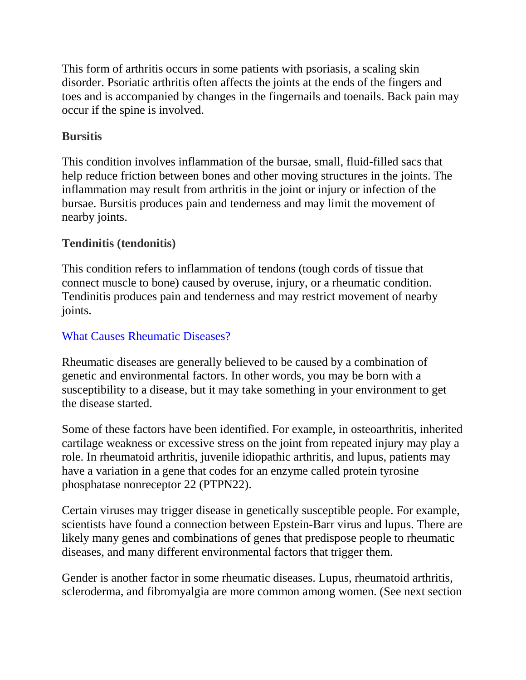This form of arthritis occurs in some patients with psoriasis, a scaling skin disorder. Psoriatic arthritis often affects the joints at the ends of the fingers and toes and is accompanied by changes in the fingernails and toenails. Back pain may occur if the spine is involved.

# **Bursitis**

This condition involves inflammation of the bursae, small, fluid-filled sacs that help reduce friction between bones and other moving structures in the joints. The inflammation may result from arthritis in the joint or injury or infection of the bursae. Bursitis produces pain and tenderness and may limit the movement of nearby joints.

# **Tendinitis (tendonitis)**

This condition refers to inflammation of tendons (tough cords of tissue that connect muscle to bone) caused by overuse, injury, or a rheumatic condition. Tendinitis produces pain and tenderness and may restrict movement of nearby joints.

# What Causes Rheumatic Diseases?

Rheumatic diseases are generally believed to be caused by a combination of genetic and environmental factors. In other words, you may be born with a susceptibility to a disease, but it may take something in your environment to get the disease started.

Some of these factors have been identified. For example, in osteoarthritis, inherited cartilage weakness or excessive stress on the joint from repeated injury may play a role. In rheumatoid arthritis, juvenile idiopathic arthritis, and lupus, patients may have a variation in a gene that codes for an enzyme called protein tyrosine phosphatase nonreceptor 22 (PTPN22).

Certain viruses may trigger disease in genetically susceptible people. For example, scientists have found a connection between Epstein-Barr virus and lupus. There are likely many genes and combinations of genes that predispose people to rheumatic diseases, and many different environmental factors that trigger them.

Gender is another factor in some rheumatic diseases. Lupus, rheumatoid arthritis, scleroderma, and fibromyalgia are more common among women. (See next section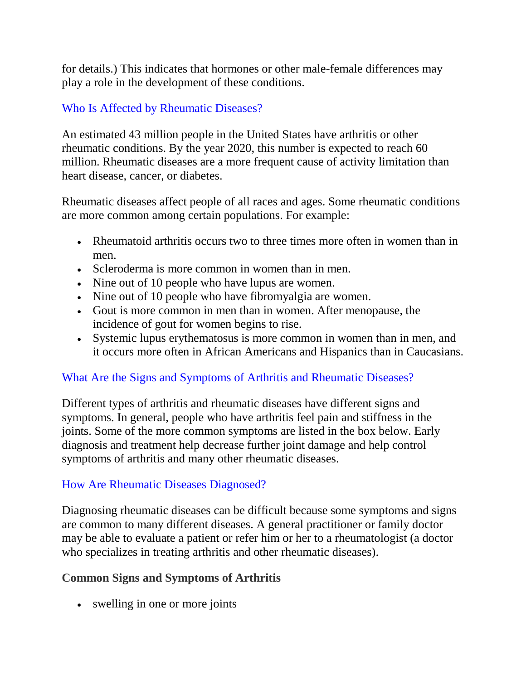for details.) This indicates that hormones or other male-female differences may play a role in the development of these conditions.

## Who Is Affected by Rheumatic Diseases?

An estimated 43 million people in the United States have arthritis or other rheumatic conditions. By the year 2020, this number is expected to reach 60 million. Rheumatic diseases are a more frequent cause of activity limitation than heart disease, cancer, or diabetes.

Rheumatic diseases affect people of all races and ages. Some rheumatic conditions are more common among certain populations. For example:

- Rheumatoid arthritis occurs two to three times more often in women than in men.
- Scleroderma is more common in women than in men.
- Nine out of 10 people who have lupus are women.
- Nine out of 10 people who have fibromyalgia are women.
- Gout is more common in men than in women. After menopause, the incidence of gout for women begins to rise.
- Systemic lupus erythematosus is more common in women than in men, and it occurs more often in African Americans and Hispanics than in Caucasians.

## What Are the Signs and Symptoms of Arthritis and Rheumatic Diseases?

Different types of arthritis and rheumatic diseases have different signs and symptoms. In general, people who have arthritis feel pain and stiffness in the joints. Some of the more common symptoms are listed in the box below. Early diagnosis and treatment help decrease further joint damage and help control symptoms of arthritis and many other rheumatic diseases.

## How Are Rheumatic Diseases Diagnosed?

Diagnosing rheumatic diseases can be difficult because some symptoms and signs are common to many different diseases. A general practitioner or family doctor may be able to evaluate a patient or refer him or her to a rheumatologist (a doctor who specializes in treating arthritis and other rheumatic diseases).

## **Common Signs and Symptoms of Arthritis**

• swelling in one or more joints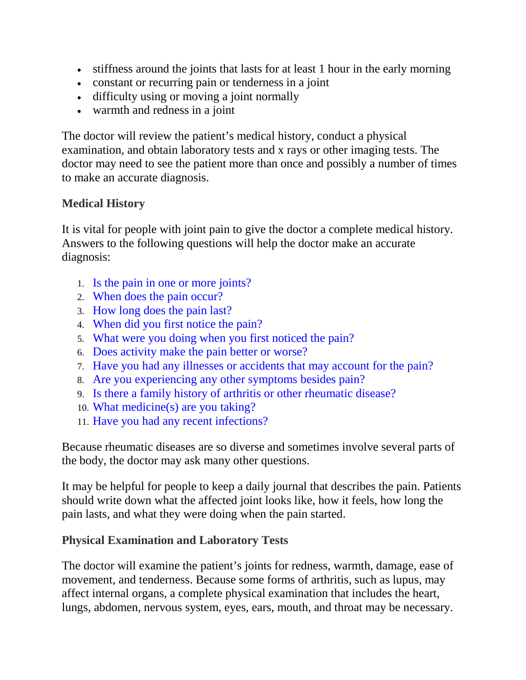- stiffness around the joints that lasts for at least 1 hour in the early morning
- constant or recurring pain or tenderness in a joint
- difficulty using or moving a joint normally
- warmth and redness in a joint

The doctor will review the patient's medical history, conduct a physical examination, and obtain laboratory tests and x rays or other imaging tests. The doctor may need to see the patient more than once and possibly a number of times to make an accurate diagnosis.

## **Medical History**

It is vital for people with joint pain to give the doctor a complete medical history. Answers to the following questions will help the doctor make an accurate diagnosis:

- 1. Is the pain in one or more joints?
- 2. When does the pain occur?
- 3. How long does the pain last?
- 4. When did you first notice the pain?
- 5. What were you doing when you first noticed the pain?
- 6. Does activity make the pain better or worse?
- 7. Have you had any illnesses or accidents that may account for the pain?
- 8. Are you experiencing any other symptoms besides pain?
- 9. Is there a family history of arthritis or other rheumatic disease?
- 10. What medicine(s) are you taking?
- 11. Have you had any recent infections?

Because rheumatic diseases are so diverse and sometimes involve several parts of the body, the doctor may ask many other questions.

It may be helpful for people to keep a daily journal that describes the pain. Patients should write down what the affected joint looks like, how it feels, how long the pain lasts, and what they were doing when the pain started.

## **Physical Examination and Laboratory Tests**

The doctor will examine the patient's joints for redness, warmth, damage, ease of movement, and tenderness. Because some forms of arthritis, such as lupus, may affect internal organs, a complete physical examination that includes the heart, lungs, abdomen, nervous system, eyes, ears, mouth, and throat may be necessary.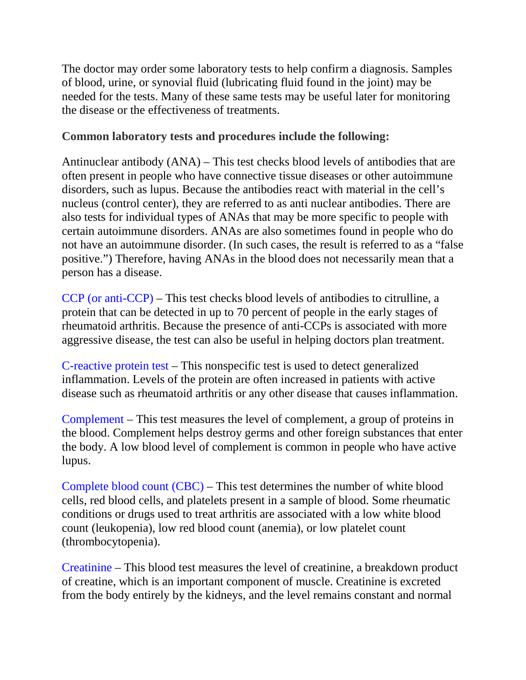The doctor may order some laboratory tests to help confirm a diagnosis. Samples of blood, urine, or synovial fluid (lubricating fluid found in the joint) may be needed for the tests. Many of these same tests may be useful later for monitoring the disease or the effectiveness of treatments.

## **Common laboratory tests and procedures include the following:**

Antinuclear antibody (ANA) – This test checks blood levels of antibodies that are often present in people who have connective tissue diseases or other autoimmune disorders, such as lupus. Because the antibodies react with material in the cell's nucleus (control center), they are referred to as anti nuclear antibodies. There are also tests for individual types of ANAs that may be more specific to people with certain autoimmune disorders. ANAs are also sometimes found in people who do not have an autoimmune disorder. (In such cases, the result is referred to as a "false positive.") Therefore, having ANAs in the blood does not necessarily mean that a person has a disease.

CCP (or anti-CCP) – This test checks blood levels of antibodies to citrulline, a protein that can be detected in up to 70 percent of people in the early stages of rheumatoid arthritis. Because the presence of anti-CCPs is associated with more aggressive disease, the test can also be useful in helping doctors plan treatment.

C-reactive protein test – This nonspecific test is used to detect generalized inflammation. Levels of the protein are often increased in patients with active disease such as rheumatoid arthritis or any other disease that causes inflammation.

Complement – This test measures the level of complement, a group of proteins in the blood. Complement helps destroy germs and other foreign substances that enter the body. A low blood level of complement is common in people who have active lupus.

Complete blood count (CBC) – This test determines the number of white blood cells, red blood cells, and platelets present in a sample of blood. Some rheumatic conditions or drugs used to treat arthritis are associated with a low white blood count (leukopenia), low red blood count (anemia), or low platelet count (thrombocytopenia).

Creatinine – This blood test measures the level of creatinine, a breakdown product of creatine, which is an important component of muscle. Creatinine is excreted from the body entirely by the kidneys, and the level remains constant and normal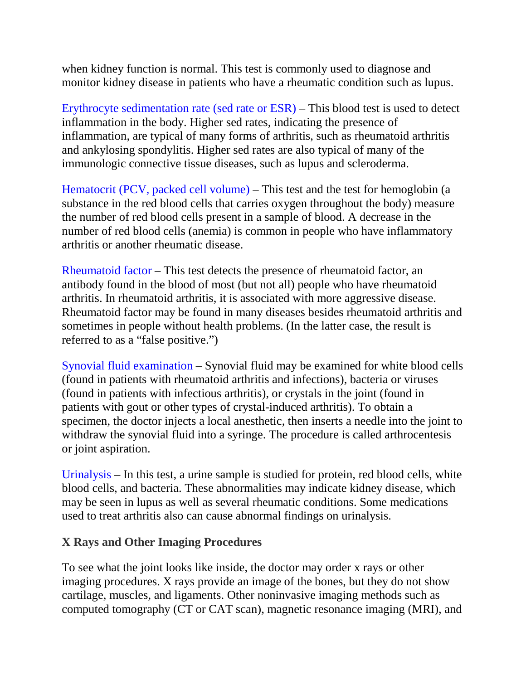when kidney function is normal. This test is commonly used to diagnose and monitor kidney disease in patients who have a rheumatic condition such as lupus.

Erythrocyte sedimentation rate (sed rate or ESR) – This blood test is used to detect inflammation in the body. Higher sed rates, indicating the presence of inflammation, are typical of many forms of arthritis, such as rheumatoid arthritis and ankylosing spondylitis. Higher sed rates are also typical of many of the immunologic connective tissue diseases, such as lupus and scleroderma.

Hematocrit (PCV, packed cell volume) – This test and the test for hemoglobin (a substance in the red blood cells that carries oxygen throughout the body) measure the number of red blood cells present in a sample of blood. A decrease in the number of red blood cells (anemia) is common in people who have inflammatory arthritis or another rheumatic disease.

Rheumatoid factor – This test detects the presence of rheumatoid factor, an antibody found in the blood of most (but not all) people who have rheumatoid arthritis. In rheumatoid arthritis, it is associated with more aggressive disease. Rheumatoid factor may be found in many diseases besides rheumatoid arthritis and sometimes in people without health problems. (In the latter case, the result is referred to as a "false positive.")

Synovial fluid examination – Synovial fluid may be examined for white blood cells (found in patients with rheumatoid arthritis and infections), bacteria or viruses (found in patients with infectious arthritis), or crystals in the joint (found in patients with gout or other types of crystal-induced arthritis). To obtain a specimen, the doctor injects a local anesthetic, then inserts a needle into the joint to withdraw the synovial fluid into a syringe. The procedure is called arthrocentesis or joint aspiration.

Urinalysis – In this test, a urine sample is studied for protein, red blood cells, white blood cells, and bacteria. These abnormalities may indicate kidney disease, which may be seen in lupus as well as several rheumatic conditions. Some medications used to treat arthritis also can cause abnormal findings on urinalysis.

## **X Rays and Other Imaging Procedures**

To see what the joint looks like inside, the doctor may order x rays or other imaging procedures. X rays provide an image of the bones, but they do not show cartilage, muscles, and ligaments. Other noninvasive imaging methods such as computed tomography (CT or CAT scan), magnetic resonance imaging (MRI), and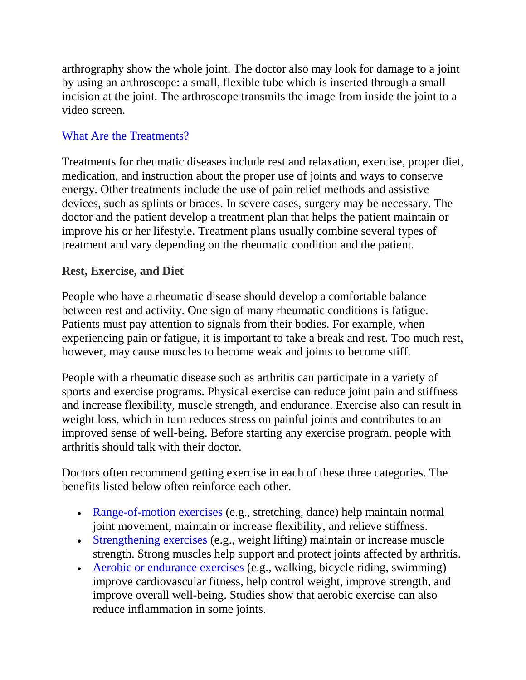arthrography show the whole joint. The doctor also may look for damage to a joint by using an arthroscope: a small, flexible tube which is inserted through a small incision at the joint. The arthroscope transmits the image from inside the joint to a video screen.

# What Are the Treatments?

Treatments for rheumatic diseases include rest and relaxation, exercise, proper diet, medication, and instruction about the proper use of joints and ways to conserve energy. Other treatments include the use of pain relief methods and assistive devices, such as splints or braces. In severe cases, surgery may be necessary. The doctor and the patient develop a treatment plan that helps the patient maintain or improve his or her lifestyle. Treatment plans usually combine several types of treatment and vary depending on the rheumatic condition and the patient.

## **Rest, Exercise, and Diet**

People who have a rheumatic disease should develop a comfortable balance between rest and activity. One sign of many rheumatic conditions is fatigue. Patients must pay attention to signals from their bodies. For example, when experiencing pain or fatigue, it is important to take a break and rest. Too much rest, however, may cause muscles to become weak and joints to become stiff.

People with a rheumatic disease such as arthritis can participate in a variety of sports and exercise programs. Physical exercise can reduce joint pain and stiffness and increase flexibility, muscle strength, and endurance. Exercise also can result in weight loss, which in turn reduces stress on painful joints and contributes to an improved sense of well-being. Before starting any exercise program, people with arthritis should talk with their doctor.

Doctors often recommend getting exercise in each of these three categories. The benefits listed below often reinforce each other.

- Range-of-motion exercises (e.g., stretching, dance) help maintain normal joint movement, maintain or increase flexibility, and relieve stiffness.
- Strengthening exercises (e.g., weight lifting) maintain or increase muscle strength. Strong muscles help support and protect joints affected by arthritis.
- Aerobic or endurance exercises (e.g., walking, bicycle riding, swimming) improve cardiovascular fitness, help control weight, improve strength, and improve overall well-being. Studies show that aerobic exercise can also reduce inflammation in some joints.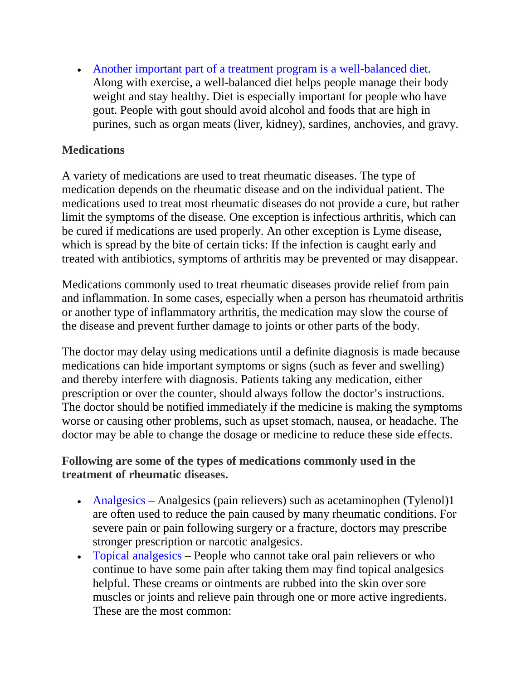• Another important part of a treatment program is a well-balanced diet. Along with exercise, a well-balanced diet helps people manage their body weight and stay healthy. Diet is especially important for people who have gout. People with gout should avoid alcohol and foods that are high in purines, such as organ meats (liver, kidney), sardines, anchovies, and gravy.

## **Medications**

A variety of medications are used to treat rheumatic diseases. The type of medication depends on the rheumatic disease and on the individual patient. The medications used to treat most rheumatic diseases do not provide a cure, but rather limit the symptoms of the disease. One exception is infectious arthritis, which can be cured if medications are used properly. An other exception is Lyme disease, which is spread by the bite of certain ticks: If the infection is caught early and treated with antibiotics, symptoms of arthritis may be prevented or may disappear.

Medications commonly used to treat rheumatic diseases provide relief from pain and inflammation. In some cases, especially when a person has rheumatoid arthritis or another type of inflammatory arthritis, the medication may slow the course of the disease and prevent further damage to joints or other parts of the body.

The doctor may delay using medications until a definite diagnosis is made because medications can hide important symptoms or signs (such as fever and swelling) and thereby interfere with diagnosis. Patients taking any medication, either prescription or over the counter, should always follow the doctor's instructions. The doctor should be notified immediately if the medicine is making the symptoms worse or causing other problems, such as upset stomach, nausea, or headache. The doctor may be able to change the dosage or medicine to reduce these side effects.

#### **Following are some of the types of medications commonly used in the treatment of rheumatic diseases.**

- Analgesics Analgesics (pain relievers) such as acetaminophen (Tylenol) 1 are often used to reduce the pain caused by many rheumatic conditions. For severe pain or pain following surgery or a fracture, doctors may prescribe stronger prescription or narcotic analgesics.
- Topical analgesics People who cannot take oral pain relievers or who continue to have some pain after taking them may find topical analgesics helpful. These creams or ointments are rubbed into the skin over sore muscles or joints and relieve pain through one or more active ingredients. These are the most common: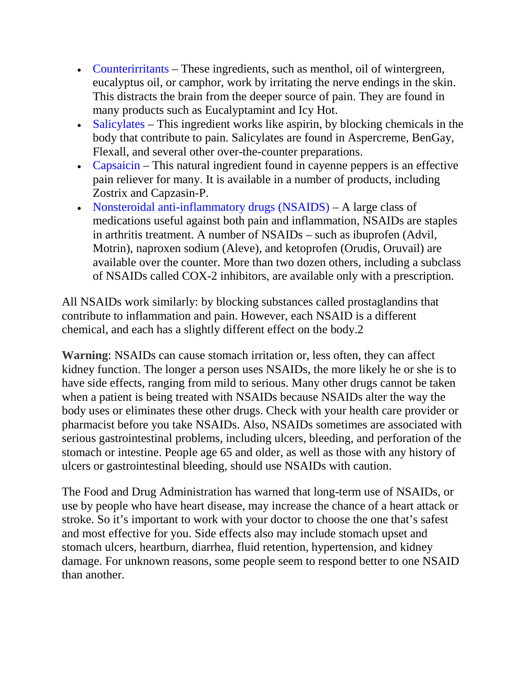- Counterirritants These ingredients, such as menthol, oil of wintergreen, eucalyptus oil, or camphor, work by irritating the nerve endings in the skin. This distracts the brain from the deeper source of pain. They are found in many products such as Eucalyptamint and Icy Hot.
- Salicylates This ingredient works like aspirin, by blocking chemicals in the body that contribute to pain. Salicylates are found in Aspercreme, BenGay, Flexall, and several other over-the-counter preparations.
- Capsaicin This natural ingredient found in cayenne peppers is an effective pain reliever for many. It is available in a number of products, including Zostrix and Capzasin-P.
- Nonsteroidal anti-inflammatory drugs (NSAIDS) A large class of medications useful against both pain and inflammation, NSAIDs are staples in arthritis treatment. A number of NSAIDs – such as ibuprofen (Advil, Motrin), naproxen sodium (Aleve), and ketoprofen (Orudis, Oruvail) are available over the counter. More than two dozen others, including a subclass of NSAIDs called COX-2 inhibitors, are available only with a prescription.

All NSAIDs work similarly: by blocking substances called prostaglandins that contribute to inflammation and pain. However, each NSAID is a different chemical, and each has a slightly different effect on the body.2

**Warning**: NSAIDs can cause stomach irritation or, less often, they can affect kidney function. The longer a person uses NSAIDs, the more likely he or she is to have side effects, ranging from mild to serious. Many other drugs cannot be taken when a patient is being treated with NSAIDs because NSAIDs alter the way the body uses or eliminates these other drugs. Check with your health care provider or pharmacist before you take NSAIDs. Also, NSAIDs sometimes are associated with serious gastrointestinal problems, including ulcers, bleeding, and perforation of the stomach or intestine. People age 65 and older, as well as those with any history of ulcers or gastrointestinal bleeding, should use NSAIDs with caution.

The Food and Drug Administration has warned that long-term use of NSAIDs, or use by people who have heart disease, may increase the chance of a heart attack or stroke. So it's important to work with your doctor to choose the one that's safest and most effective for you. Side effects also may include stomach upset and stomach ulcers, heartburn, diarrhea, fluid retention, hypertension, and kidney damage. For unknown reasons, some people seem to respond better to one NSAID than another.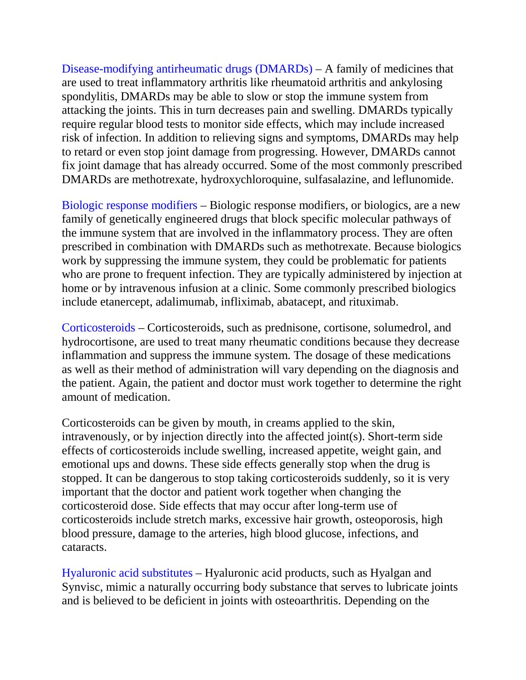Disease-modifying antirheumatic drugs (DMARDs) – A family of medicines that are used to treat inflammatory arthritis like rheumatoid arthritis and ankylosing spondylitis, DMARDs may be able to slow or stop the immune system from attacking the joints. This in turn decreases pain and swelling. DMARDs typically require regular blood tests to monitor side effects, which may include increased risk of infection. In addition to relieving signs and symptoms, DMARDs may help to retard or even stop joint damage from progressing. However, DMARDs cannot fix joint damage that has already occurred. Some of the most commonly prescribed DMARDs are methotrexate, hydroxychloroquine, sulfasalazine, and leflunomide.

Biologic response modifiers – Biologic response modifiers, or biologics, are a new family of genetically engineered drugs that block specific molecular pathways of the immune system that are involved in the inflammatory process. They are often prescribed in combination with DMARDs such as methotrexate. Because biologics work by suppressing the immune system, they could be problematic for patients who are prone to frequent infection. They are typically administered by injection at home or by intravenous infusion at a clinic. Some commonly prescribed biologics include etanercept, adalimumab, infliximab, abatacept, and rituximab.

Corticosteroids – Corticosteroids, such as prednisone, cortisone, solumedrol, and hydrocortisone, are used to treat many rheumatic conditions because they decrease inflammation and suppress the immune system. The dosage of these medications as well as their method of administration will vary depending on the diagnosis and the patient. Again, the patient and doctor must work together to determine the right amount of medication.

Corticosteroids can be given by mouth, in creams applied to the skin, intravenously, or by injection directly into the affected joint(s). Short-term side effects of corticosteroids include swelling, increased appetite, weight gain, and emotional ups and downs. These side effects generally stop when the drug is stopped. It can be dangerous to stop taking corticosteroids suddenly, so it is very important that the doctor and patient work together when changing the corticosteroid dose. Side effects that may occur after long-term use of corticosteroids include stretch marks, excessive hair growth, osteoporosis, high blood pressure, damage to the arteries, high blood glucose, infections, and cataracts.

Hyaluronic acid substitutes – Hyaluronic acid products, such as Hyalgan and Synvisc, mimic a naturally occurring body substance that serves to lubricate joints and is believed to be deficient in joints with osteoarthritis. Depending on the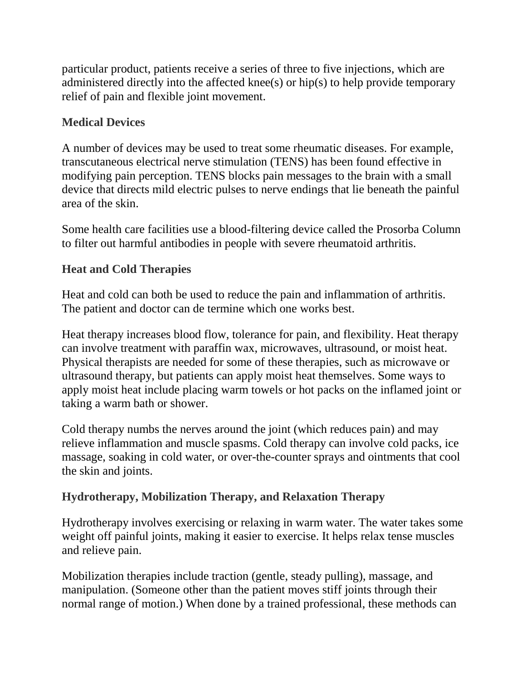particular product, patients receive a series of three to five injections, which are administered directly into the affected knee(s) or hip(s) to help provide temporary relief of pain and flexible joint movement.

# **Medical Devices**

A number of devices may be used to treat some rheumatic diseases. For example, transcutaneous electrical nerve stimulation (TENS) has been found effective in modifying pain perception. TENS blocks pain messages to the brain with a small device that directs mild electric pulses to nerve endings that lie beneath the painful area of the skin.

Some health care facilities use a blood-filtering device called the Prosorba Column to filter out harmful antibodies in people with severe rheumatoid arthritis.

## **Heat and Cold Therapies**

Heat and cold can both be used to reduce the pain and inflammation of arthritis. The patient and doctor can de termine which one works best.

Heat therapy increases blood flow, tolerance for pain, and flexibility. Heat therapy can involve treatment with paraffin wax, microwaves, ultrasound, or moist heat. Physical therapists are needed for some of these therapies, such as microwave or ultrasound therapy, but patients can apply moist heat themselves. Some ways to apply moist heat include placing warm towels or hot packs on the inflamed joint or taking a warm bath or shower.

Cold therapy numbs the nerves around the joint (which reduces pain) and may relieve inflammation and muscle spasms. Cold therapy can involve cold packs, ice massage, soaking in cold water, or over-the-counter sprays and ointments that cool the skin and joints.

## **Hydrotherapy, Mobilization Therapy, and Relaxation Therapy**

Hydrotherapy involves exercising or relaxing in warm water. The water takes some weight off painful joints, making it easier to exercise. It helps relax tense muscles and relieve pain.

Mobilization therapies include traction (gentle, steady pulling), massage, and manipulation. (Someone other than the patient moves stiff joints through their normal range of motion.) When done by a trained professional, these methods can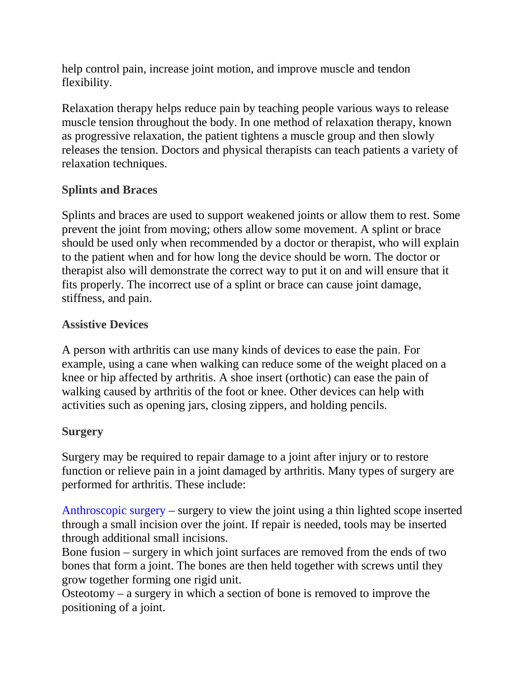help control pain, increase joint motion, and improve muscle and tendon flexibility.

Relaxation therapy helps reduce pain by teaching people various ways to release muscle tension throughout the body. In one method of relaxation therapy, known as progressive relaxation, the patient tightens a muscle group and then slowly releases the tension. Doctors and physical therapists can teach patients a variety of relaxation techniques.

## **Splints and Braces**

Splints and braces are used to support weakened joints or allow them to rest. Some prevent the joint from moving; others allow some movement. A splint or brace should be used only when recommended by a doctor or therapist, who will explain to the patient when and for how long the device should be worn. The doctor or therapist also will demonstrate the correct way to put it on and will ensure that it fits properly. The incorrect use of a splint or brace can cause joint damage, stiffness, and pain.

## **Assistive Devices**

A person with arthritis can use many kinds of devices to ease the pain. For example, using a cane when walking can reduce some of the weight placed on a knee or hip affected by arthritis. A shoe insert (orthotic) can ease the pain of walking caused by arthritis of the foot or knee. Other devices can help with activities such as opening jars, closing zippers, and holding pencils.

## **Surgery**

Surgery may be required to repair damage to a joint after injury or to restore function or relieve pain in a joint damaged by arthritis. Many types of surgery are performed for arthritis. These include:

Anthroscopic surgery – surgery to view the joint using a thin lighted scope inserted through a small incision over the joint. If repair is needed, tools may be inserted through additional small incisions.

Bone fusion – surgery in which joint surfaces are removed from the ends of two bones that form a joint. The bones are then held together with screws until they grow together forming one rigid unit.

Osteotomy – a surgery in which a section of bone is removed to improve the positioning of a joint.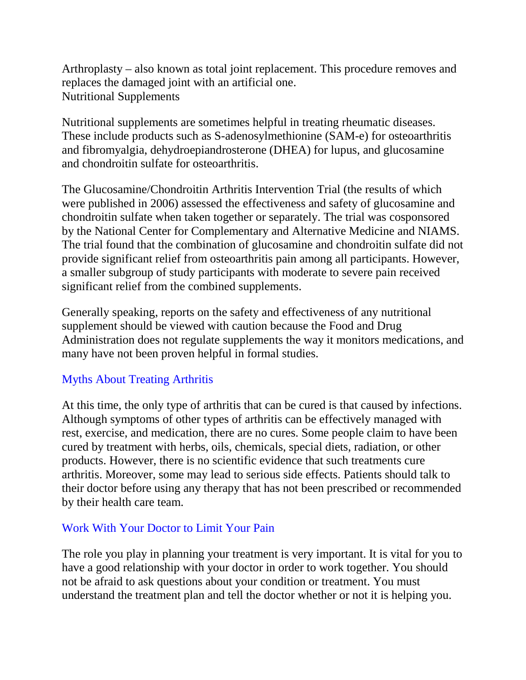Arthroplasty – also known as total joint replacement. This procedure removes and replaces the damaged joint with an artificial one. Nutritional Supplements

Nutritional supplements are sometimes helpful in treating rheumatic diseases. These include products such as S-adenosylmethionine (SAM-e) for osteoarthritis and fibromyalgia, dehydroepiandrosterone (DHEA) for lupus, and glucosamine and chondroitin sulfate for osteoarthritis.

The Glucosamine/Chondroitin Arthritis Intervention Trial (the results of which were published in 2006) assessed the effectiveness and safety of glucosamine and chondroitin sulfate when taken together or separately. The trial was cosponsored by the National Center for Complementary and Alternative Medicine and NIAMS. The trial found that the combination of glucosamine and chondroitin sulfate did not provide significant relief from osteoarthritis pain among all participants. However, a smaller subgroup of study participants with moderate to severe pain received significant relief from the combined supplements.

Generally speaking, reports on the safety and effectiveness of any nutritional supplement should be viewed with caution because the Food and Drug Administration does not regulate supplements the way it monitors medications, and many have not been proven helpful in formal studies.

## Myths About Treating Arthritis

At this time, the only type of arthritis that can be cured is that caused by infections. Although symptoms of other types of arthritis can be effectively managed with rest, exercise, and medication, there are no cures. Some people claim to have been cured by treatment with herbs, oils, chemicals, special diets, radiation, or other products. However, there is no scientific evidence that such treatments cure arthritis. Moreover, some may lead to serious side effects. Patients should talk to their doctor before using any therapy that has not been prescribed or recommended by their health care team.

## Work With Your Doctor to Limit Your Pain

The role you play in planning your treatment is very important. It is vital for you to have a good relationship with your doctor in order to work together. You should not be afraid to ask questions about your condition or treatment. You must understand the treatment plan and tell the doctor whether or not it is helping you.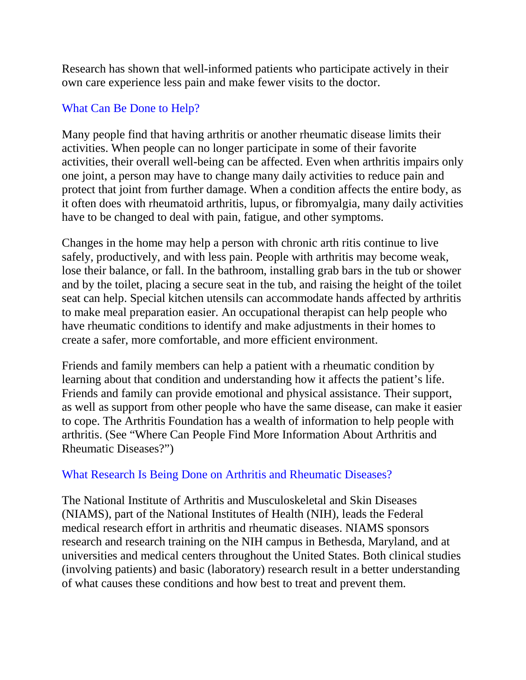Research has shown that well-informed patients who participate actively in their own care experience less pain and make fewer visits to the doctor.

#### What Can Be Done to Help?

Many people find that having arthritis or another rheumatic disease limits their activities. When people can no longer participate in some of their favorite activities, their overall well-being can be affected. Even when arthritis impairs only one joint, a person may have to change many daily activities to reduce pain and protect that joint from further damage. When a condition affects the entire body, as it often does with rheumatoid arthritis, lupus, or fibromyalgia, many daily activities have to be changed to deal with pain, fatigue, and other symptoms.

Changes in the home may help a person with chronic arth ritis continue to live safely, productively, and with less pain. People with arthritis may become weak, lose their balance, or fall. In the bathroom, installing grab bars in the tub or shower and by the toilet, placing a secure seat in the tub, and raising the height of the toilet seat can help. Special kitchen utensils can accommodate hands affected by arthritis to make meal preparation easier. An occupational therapist can help people who have rheumatic conditions to identify and make adjustments in their homes to create a safer, more comfortable, and more efficient environment.

Friends and family members can help a patient with a rheumatic condition by learning about that condition and understanding how it affects the patient's life. Friends and family can provide emotional and physical assistance. Their support, as well as support from other people who have the same disease, can make it easier to cope. The Arthritis Foundation has a wealth of information to help people with arthritis. (See "Where Can People Find More Information About Arthritis and Rheumatic Diseases?")

#### What Research Is Being Done on Arthritis and Rheumatic Diseases?

The National Institute of Arthritis and Musculoskeletal and Skin Diseases (NIAMS), part of the National Institutes of Health (NIH), leads the Federal medical research effort in arthritis and rheumatic diseases. NIAMS sponsors research and research training on the NIH campus in Bethesda, Maryland, and at universities and medical centers throughout the United States. Both clinical studies (involving patients) and basic (laboratory) research result in a better understanding of what causes these conditions and how best to treat and prevent them.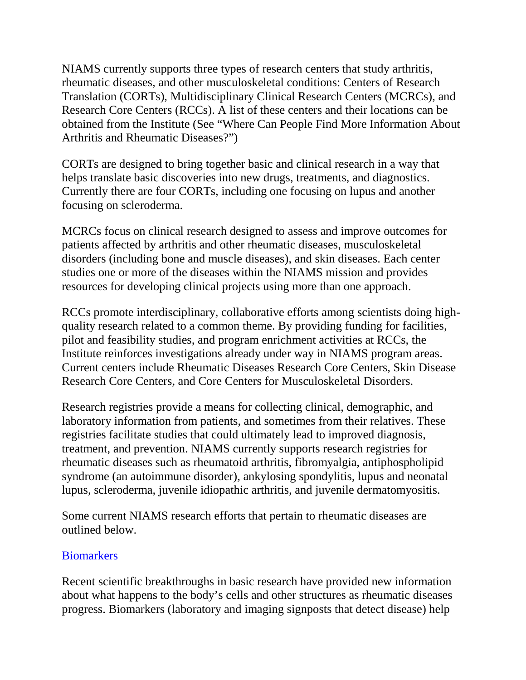NIAMS currently supports three types of research centers that study arthritis, rheumatic diseases, and other musculoskeletal conditions: Centers of Research Translation (CORTs), Multidisciplinary Clinical Research Centers (MCRCs), and Research Core Centers (RCCs). A list of these centers and their locations can be obtained from the Institute (See "Where Can People Find More Information About Arthritis and Rheumatic Diseases?")

CORTs are designed to bring together basic and clinical research in a way that helps translate basic discoveries into new drugs, treatments, and diagnostics. Currently there are four CORTs, including one focusing on lupus and another focusing on scleroderma.

MCRCs focus on clinical research designed to assess and improve outcomes for patients affected by arthritis and other rheumatic diseases, musculoskeletal disorders (including bone and muscle diseases), and skin diseases. Each center studies one or more of the diseases within the NIAMS mission and provides resources for developing clinical projects using more than one approach.

RCCs promote interdisciplinary, collaborative efforts among scientists doing highquality research related to a common theme. By providing funding for facilities, pilot and feasibility studies, and program enrichment activities at RCCs, the Institute reinforces investigations already under way in NIAMS program areas. Current centers include Rheumatic Diseases Research Core Centers, Skin Disease Research Core Centers, and Core Centers for Musculoskeletal Disorders.

Research registries provide a means for collecting clinical, demographic, and laboratory information from patients, and sometimes from their relatives. These registries facilitate studies that could ultimately lead to improved diagnosis, treatment, and prevention. NIAMS currently supports research registries for rheumatic diseases such as rheumatoid arthritis, fibromyalgia, antiphospholipid syndrome (an autoimmune disorder), ankylosing spondylitis, lupus and neonatal lupus, scleroderma, juvenile idiopathic arthritis, and juvenile dermatomyositis.

Some current NIAMS research efforts that pertain to rheumatic diseases are outlined below.

#### **Biomarkers**

Recent scientific breakthroughs in basic research have provided new information about what happens to the body's cells and other structures as rheumatic diseases progress. Biomarkers (laboratory and imaging signposts that detect disease) help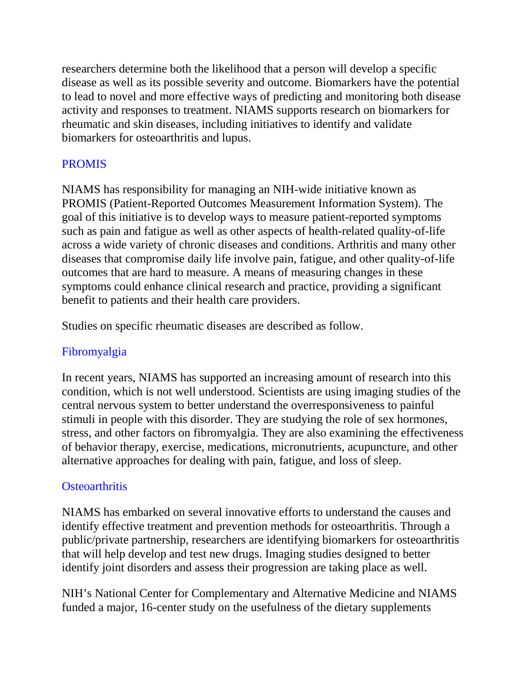researchers determine both the likelihood that a person will develop a specific disease as well as its possible severity and outcome. Biomarkers have the potential to lead to novel and more effective ways of predicting and monitoring both disease activity and responses to treatment. NIAMS supports research on biomarkers for rheumatic and skin diseases, including initiatives to identify and validate biomarkers for osteoarthritis and lupus.

# **PROMIS**

NIAMS has responsibility for managing an NIH-wide initiative known as PROMIS (Patient-Reported Outcomes Measurement Information System). The goal of this initiative is to develop ways to measure patient-reported symptoms such as pain and fatigue as well as other aspects of health-related quality-of-life across a wide variety of chronic diseases and conditions. Arthritis and many other diseases that compromise daily life involve pain, fatigue, and other quality-of-life outcomes that are hard to measure. A means of measuring changes in these symptoms could enhance clinical research and practice, providing a significant benefit to patients and their health care providers.

Studies on specific rheumatic diseases are described as follow.

# Fibromyalgia

In recent years, NIAMS has supported an increasing amount of research into this condition, which is not well understood. Scientists are using imaging studies of the central nervous system to better understand the overresponsiveness to painful stimuli in people with this disorder. They are studying the role of sex hormones, stress, and other factors on fibromyalgia. They are also examining the effectiveness of behavior therapy, exercise, medications, micronutrients, acupuncture, and other alternative approaches for dealing with pain, fatigue, and loss of sleep.

## **Osteoarthritis**

NIAMS has embarked on several innovative efforts to understand the causes and identify effective treatment and prevention methods for osteoarthritis. Through a public/private partnership, researchers are identifying biomarkers for osteoarthritis that will help develop and test new drugs. Imaging studies designed to better identify joint disorders and assess their progression are taking place as well.

NIH's National Center for Complementary and Alternative Medicine and NIAMS funded a major, 16-center study on the usefulness of the dietary supplements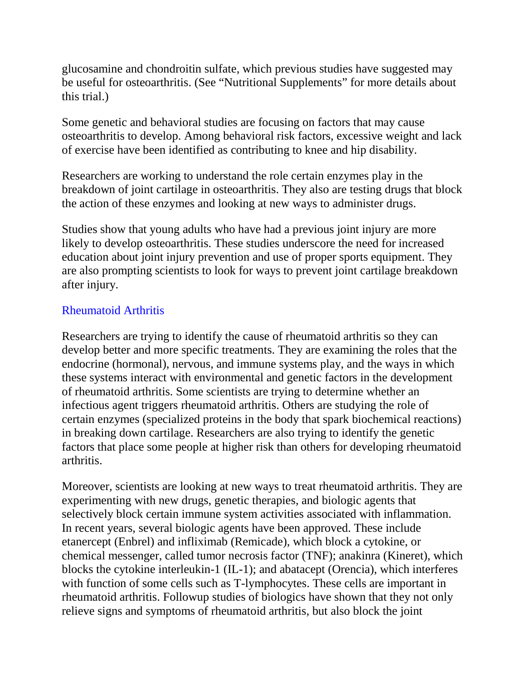glucosamine and chondroitin sulfate, which previous studies have suggested may be useful for osteoarthritis. (See "Nutritional Supplements" for more details about this trial.)

Some genetic and behavioral studies are focusing on factors that may cause osteoarthritis to develop. Among behavioral risk factors, excessive weight and lack of exercise have been identified as contributing to knee and hip disability.

Researchers are working to understand the role certain enzymes play in the breakdown of joint cartilage in osteoarthritis. They also are testing drugs that block the action of these enzymes and looking at new ways to administer drugs.

Studies show that young adults who have had a previous joint injury are more likely to develop osteoarthritis. These studies underscore the need for increased education about joint injury prevention and use of proper sports equipment. They are also prompting scientists to look for ways to prevent joint cartilage breakdown after injury.

## Rheumatoid Arthritis

Researchers are trying to identify the cause of rheumatoid arthritis so they can develop better and more specific treatments. They are examining the roles that the endocrine (hormonal), nervous, and immune systems play, and the ways in which these systems interact with environmental and genetic factors in the development of rheumatoid arthritis. Some scientists are trying to determine whether an infectious agent triggers rheumatoid arthritis. Others are studying the role of certain enzymes (specialized proteins in the body that spark biochemical reactions) in breaking down cartilage. Researchers are also trying to identify the genetic factors that place some people at higher risk than others for developing rheumatoid arthritis.

Moreover, scientists are looking at new ways to treat rheumatoid arthritis. They are experimenting with new drugs, genetic therapies, and biologic agents that selectively block certain immune system activities associated with inflammation. In recent years, several biologic agents have been approved. These include etanercept (Enbrel) and infliximab (Remicade), which block a cytokine, or chemical messenger, called tumor necrosis factor (TNF); anakinra (Kineret), which blocks the cytokine interleukin-1 (IL-1); and abatacept (Orencia), which interferes with function of some cells such as T-lymphocytes. These cells are important in rheumatoid arthritis. Followup studies of biologics have shown that they not only relieve signs and symptoms of rheumatoid arthritis, but also block the joint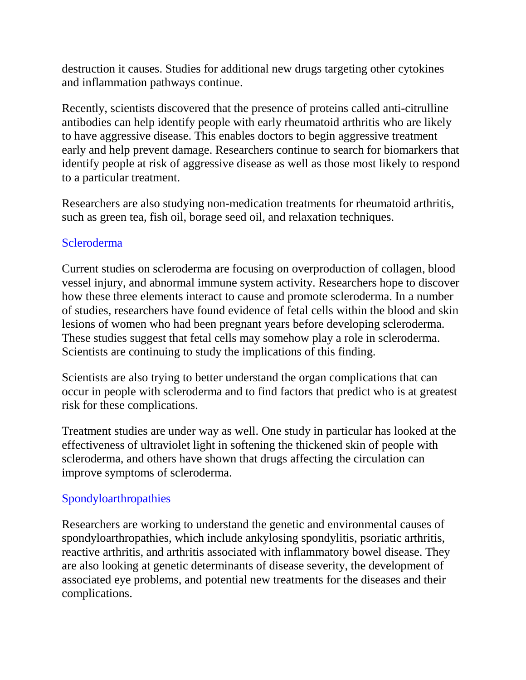destruction it causes. Studies for additional new drugs targeting other cytokines and inflammation pathways continue.

Recently, scientists discovered that the presence of proteins called anti-citrulline antibodies can help identify people with early rheumatoid arthritis who are likely to have aggressive disease. This enables doctors to begin aggressive treatment early and help prevent damage. Researchers continue to search for biomarkers that identify people at risk of aggressive disease as well as those most likely to respond to a particular treatment.

Researchers are also studying non-medication treatments for rheumatoid arthritis, such as green tea, fish oil, borage seed oil, and relaxation techniques.

#### Scleroderma

Current studies on scleroderma are focusing on overproduction of collagen, blood vessel injury, and abnormal immune system activity. Researchers hope to discover how these three elements interact to cause and promote scleroderma. In a number of studies, researchers have found evidence of fetal cells within the blood and skin lesions of women who had been pregnant years before developing scleroderma. These studies suggest that fetal cells may somehow play a role in scleroderma. Scientists are continuing to study the implications of this finding.

Scientists are also trying to better understand the organ complications that can occur in people with scleroderma and to find factors that predict who is at greatest risk for these complications.

Treatment studies are under way as well. One study in particular has looked at the effectiveness of ultraviolet light in softening the thickened skin of people with scleroderma, and others have shown that drugs affecting the circulation can improve symptoms of scleroderma.

#### Spondyloarthropathies

Researchers are working to understand the genetic and environmental causes of spondyloarthropathies, which include ankylosing spondylitis, psoriatic arthritis, reactive arthritis, and arthritis associated with inflammatory bowel disease. They are also looking at genetic determinants of disease severity, the development of associated eye problems, and potential new treatments for the diseases and their complications.